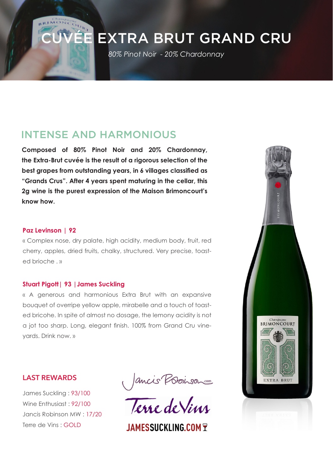# CUVÉE EXTRA BRUT GRAND CRU

*80% Pinot Noir - 20% Chardonnay* 

# INTENSE AND HARMONIOUS

**Composed of 80% Pinot Noir and 20% Chardonnay, the Extra-Brut cuvée is the result of a rigorous selection of the best grapes from outstanding years, in 6 villages classified as "Grands Crus". After 4 years spent maturing in the cellar, this 2g wine is the purest expression of the Maison Brimoncourt's know how.**

#### **Paz Levinson | 92**

« Complex nose, dry palate, high acidity, medium body, fruit, red cherry, apples, dried fruits, chalky, structured. Very precise, toasted brioche »

#### **Stuart Pigott| 93 |James Suckling**

« A generous and harmonious Extra Brut with an expansive bouquet of overripe yellow apple, mirabelle and a touch of toasted bricohe. In spite of almost no dosage, the lemony acidity is not a jot too sharp. Long, elegant finish. 100% from Grand Cru vineyards. Drink now. »

### **LAST REWARDS**

James Suckling : 93/100 Wine Enthusiast : 92/100 Jancis Robinson MW : 17/20 Terre de Vins : GOLD

Jancis Provison

**JAMESSUCKLING COM 7**